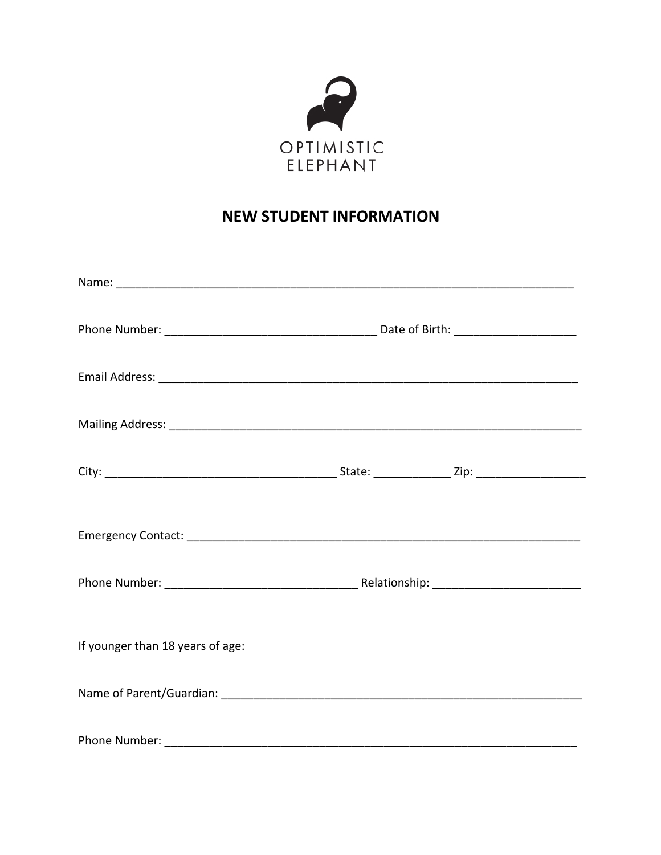

## **NEW STUDENT INFORMATION**

| If younger than 18 years of age: |  |
|----------------------------------|--|
|                                  |  |
| Phone Number:                    |  |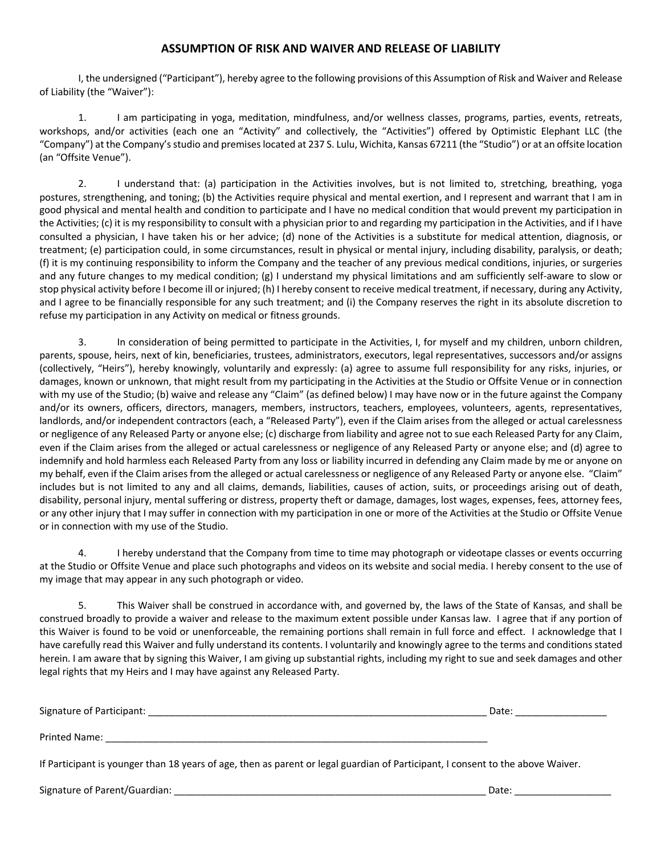## **ASSUMPTION OF RISK AND WAIVER AND RELEASE OF LIABILITY**

I, the undersigned ("Participant"), hereby agree to the following provisions of this Assumption of Risk and Waiver and Release of Liability (the "Waiver"):

1. I am participating in yoga, meditation, mindfulness, and/or wellness classes, programs, parties, events, retreats, workshops, and/or activities (each one an "Activity" and collectively, the "Activities") offered by Optimistic Elephant LLC (the "Company") at the Company's studio and premiseslocated at 237 S. Lulu, Wichita, Kansas 67211 (the "Studio") or at an offsite location (an "Offsite Venue").

2. I understand that: (a) participation in the Activities involves, but is not limited to, stretching, breathing, yoga postures, strengthening, and toning; (b) the Activities require physical and mental exertion, and I represent and warrant that I am in good physical and mental health and condition to participate and I have no medical condition that would prevent my participation in the Activities; (c) it is my responsibility to consult with a physician prior to and regarding my participation in the Activities, and if I have consulted a physician, I have taken his or her advice; (d) none of the Activities is a substitute for medical attention, diagnosis, or treatment; (e) participation could, in some circumstances, result in physical or mental injury, including disability, paralysis, or death; (f) it is my continuing responsibility to inform the Company and the teacher of any previous medical conditions, injuries, or surgeries and any future changes to my medical condition; (g) I understand my physical limitations and am sufficiently self-aware to slow or stop physical activity before I become ill or injured; (h) I hereby consent to receive medical treatment, if necessary, during any Activity, and I agree to be financially responsible for any such treatment; and (i) the Company reserves the right in its absolute discretion to refuse my participation in any Activity on medical or fitness grounds.

3. In consideration of being permitted to participate in the Activities, I, for myself and my children, unborn children, parents, spouse, heirs, next of kin, beneficiaries, trustees, administrators, executors, legal representatives, successors and/or assigns (collectively, "Heirs"), hereby knowingly, voluntarily and expressly: (a) agree to assume full responsibility for any risks, injuries, or damages, known or unknown, that might result from my participating in the Activities at the Studio or Offsite Venue or in connection with my use of the Studio; (b) waive and release any "Claim" (as defined below) I may have now or in the future against the Company and/or its owners, officers, directors, managers, members, instructors, teachers, employees, volunteers, agents, representatives, landlords, and/or independent contractors (each, a "Released Party"), even if the Claim arises from the alleged or actual carelessness or negligence of any Released Party or anyone else; (c) discharge from liability and agree not to sue each Released Party for any Claim, even if the Claim arises from the alleged or actual carelessness or negligence of any Released Party or anyone else; and (d) agree to indemnify and hold harmless each Released Party from any loss or liability incurred in defending any Claim made by me or anyone on my behalf, even if the Claim arises from the alleged or actual carelessness or negligence of any Released Party or anyone else. "Claim" includes but is not limited to any and all claims, demands, liabilities, causes of action, suits, or proceedings arising out of death, disability, personal injury, mental suffering or distress, property theft or damage, damages, lost wages, expenses, fees, attorney fees, or any other injury that I may suffer in connection with my participation in one or more of the Activities at the Studio or Offsite Venue or in connection with my use of the Studio.

4. I hereby understand that the Company from time to time may photograph or videotape classes or events occurring at the Studio or Offsite Venue and place such photographs and videos on its website and social media. I hereby consent to the use of my image that may appear in any such photograph or video.

5. This Waiver shall be construed in accordance with, and governed by, the laws of the State of Kansas, and shall be construed broadly to provide a waiver and release to the maximum extent possible under Kansas law. I agree that if any portion of this Waiver is found to be void or unenforceable, the remaining portions shall remain in full force and effect. I acknowledge that I have carefully read this Waiver and fully understand its contents. I voluntarily and knowingly agree to the terms and conditions stated herein. I am aware that by signing this Waiver, I am giving up substantial rights, including my right to sue and seek damages and other legal rights that my Heirs and I may have against any Released Party.

| Signature of Participant: | Date: |  |
|---------------------------|-------|--|
| Printed Name:             |       |  |

If Participant is younger than 18 years of age, then as parent or legal guardian of Participant, I consent to the above Waiver.

Signature of Parent/Guardian: \_\_\_\_\_\_\_\_\_\_\_\_\_\_\_\_\_\_\_\_\_\_\_\_\_\_\_\_\_\_\_\_\_\_\_\_\_\_\_\_\_\_\_\_\_\_\_\_\_\_\_\_\_\_\_\_\_\_ Date: \_\_\_\_\_\_\_\_\_\_\_\_\_\_\_\_\_\_